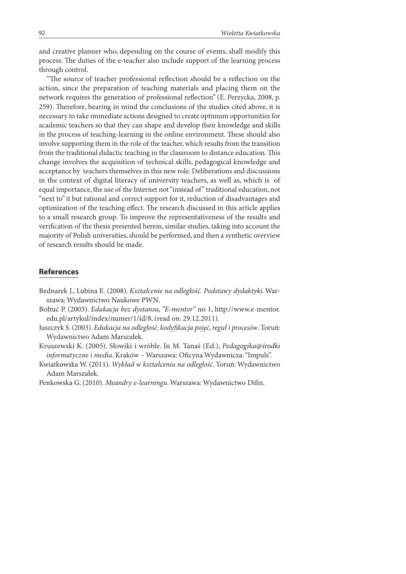and creative planner who, depending on the course of events, shall modify this process. The duties of the e-teacher also include support of the learning process through control.

"The source of teacher professional reflection should be a reflection on the action, since the preparation of teaching materials and placing them on the network requires the generation of professional reflection" (E. Perzycka, 2008, p. 259). Therefore, bearing in mind the conclusions of the studies cited above, it is necessary to take immediate actions designed to create optimum opportunities for academic teachers so that they can shape and develop their knowledge and skills in the process of teaching-learning in the online environment. These should also involve supporting them in the role of the teacher, which results from the transition from the traditional didactic teaching in the classroom to distance education. This change involves the acquisition of technical skills, pedagogical knowledge and acceptance by teachers themselves in this new role. Deliberations and discussions in the context of digital literacy of university teachers, as well as, which is of equal importance, the use of the Internet not "instead of" traditional education, not "next to" it but rational and correct support for it, reduction of disadvantages and optimization of the teaching effect. The research discussed in this article applies to a small research group. To improve the representativeness of the results and verification of the thesis presented herein, similar studies, taking into account the majority of Polish universities, should be performed, and then a synthetic overview of research results should be made.

## **References**

- Bednarek J., Lubina E. (2008). Kształcenie na odległość. Podstawy dydaktyki. Warszawa: Wydawnictwo Naukowe PWN.
- Bołtuć P. (2003). Edukacja bez dystansu, "E-mentor" no 1, http://www.e-mentor. edu.pl/artykul/index/numer/1/id/8, (read on: 29.12.2011).
- Juszczyk S. (2003). Edukacja na odległość: kodyfikacja pojęć, reguł i procesów. Toruń: Wydawnictwo Adam Marszałek.
- Kruszewski K. (2005). Słowiki i wróble. In M. Tanaś (Ed.), Pedagogika@środki informatyczne i media. Kraków – Warszawa: Oficyna Wydawnicza: "Impuls".
- Kwiatkowska W. (2011). Wykład w kształceniu na odległość. Toruń: Wydawnictwo Adam Marszałek.
- Penkowska G. (2010). Meandry e-learningu. Warszawa: Wydawnictwo Difin.